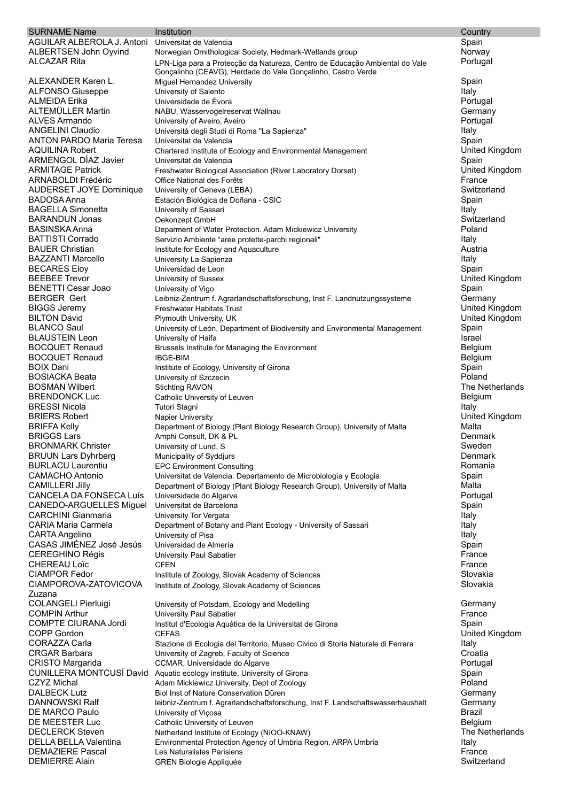| <b>SURNAME Name</b>                                  | Institution                                                                                                                 | Country                   |
|------------------------------------------------------|-----------------------------------------------------------------------------------------------------------------------------|---------------------------|
| AGUILAR ALBEROLA J. Antoni                           | Universitat de Valencia                                                                                                     | Spain                     |
| ALBERTSEN John Oyvind                                | Norwegian Ornithological Society, Hedmark-Wetlands group                                                                    | Norway                    |
| <b>ALCAZAR Rita</b>                                  | LPN-Liga para a Protecção da Natureza, Centro de Educação Ambiental do Vale                                                 | Portugal                  |
| ALEXANDER Karen L.                                   | Gonçalinho (CEAVG), Herdade do Vale Gonçalinho, Castro Verde                                                                |                           |
| <b>ALFONSO Giuseppe</b>                              | Miguel Hernandez University<br>University of Salento                                                                        | Spain<br>Italy            |
| ALMEIDA Erika                                        | Universidade de Évora                                                                                                       | Portugal                  |
| <b>ALTEMÜLLER Martin</b>                             | NABU, Wasservogelreservat Wallnau                                                                                           | Germany                   |
| <b>ALVES Armando</b>                                 | University of Aveiro, Aveiro                                                                                                | Portugal                  |
| <b>ANGELINI Claudio</b>                              | Universitá degli Studi di Roma "La Sapienza"                                                                                | Italy                     |
| <b>ANTON PARDO Maria Teresa</b>                      | Universitat de Valencia                                                                                                     | Spain                     |
| <b>AQUILINA Robert</b>                               | Chartered Institute of Ecology and Environmental Management                                                                 | United Kingdom            |
| ARMENGOL DÍAZ Javier                                 | Universitat de Valencia                                                                                                     | Spain                     |
| <b>ARMITAGE Patrick</b>                              | Freshwater Biological Association (River Laboratory Dorset)                                                                 | United Kingdom            |
| ARNABOLDI Frédéric<br><b>AUDERSET JOYE Dominique</b> | Office National des Forêts<br>University of Geneva (LEBA)                                                                   | France<br>Switzerland     |
| <b>BADOSA Anna</b>                                   | Estación Biológica de Doñana - CSIC                                                                                         | Spain                     |
| <b>BAGELLA Simonetta</b>                             | University of Sassari                                                                                                       | Italy                     |
| <b>BARANDUN Jonas</b>                                | Oekonzept GmbH                                                                                                              | Switzerland               |
| <b>BASINSKA Anna</b>                                 | Deparment of Water Protection. Adam Mickiewicz University                                                                   | Poland                    |
| <b>BATTISTI Corrado</b>                              | Servizio Ambiente "aree protette-parchi regionali"                                                                          | Italy                     |
| <b>BAUER Christian</b>                               | Institute for Ecology and Aquaculture                                                                                       | Austria                   |
| <b>BAZZANTI Marcello</b>                             | University La Sapienza                                                                                                      | Italy                     |
| <b>BECARES Eloy</b>                                  | Universidad de Leon                                                                                                         | Spain                     |
| <b>BEEBEE Trevor</b>                                 | University of Sussex                                                                                                        | United Kingdom            |
| <b>BENETTI Cesar Joao</b>                            | University of Vigo                                                                                                          | Spain                     |
| <b>BERGER Gert</b><br><b>BIGGS Jeremy</b>            | Leibniz-Zentrum f. Agrarlandschaftsforschung, Inst F. Landnutzungssysteme<br><b>Freshwater Habitats Trust</b>               | Germany<br>United Kingdom |
| <b>BILTON David</b>                                  | Plymouth University, UK                                                                                                     | United Kingdom            |
| <b>BLANCO Saul</b>                                   | University of León, Department of Biodiversity and Environmental Management                                                 | Spain                     |
| <b>BLAUSTEIN Leon</b>                                | University of Haifa                                                                                                         | Israel                    |
| <b>BOCQUET Renaud</b>                                | Brussels Institute for Managing the Environment                                                                             | Belgium                   |
| <b>BOCQUET Renaud</b>                                | <b>IBGE-BIM</b>                                                                                                             | Belgium                   |
| <b>BOIX Dani</b>                                     | Institute of Ecology, University of Girona                                                                                  | Spain                     |
| <b>BOSIACKA Beata</b>                                | University of Szczecin                                                                                                      | Poland                    |
| <b>BOSMAN Wilbert</b>                                | <b>Stichting RAVON</b>                                                                                                      | The Netherlands           |
| <b>BRENDONCK Luc</b>                                 | Catholic University of Leuven                                                                                               | Belgium                   |
| <b>BRESSI Nicola</b>                                 | Tutori Stagni                                                                                                               | Italy                     |
| <b>BRIERS Robert</b>                                 | <b>Napier University</b>                                                                                                    | United Kingdom<br>Malta   |
| <b>BRIFFA Kelly</b><br><b>BRIGGS Lars</b>            | Department of Biology (Plant Biology Research Group), University of Malta<br>Amphi Consult, DK & PL                         | Denmark                   |
| <b>BRONMARK Christer</b>                             | University of Lund, S                                                                                                       | Sweden                    |
| <b>BRUUN Lars Dyhrberg</b>                           | Municipality of Syddjurs                                                                                                    | Denmark                   |
| <b>BURLACU Laurentiu</b>                             | <b>EPC Environment Consulting</b>                                                                                           | Romania                   |
| <b>CAMACHO Antonio</b>                               | Universitat de Valencia. Departamento de Microbiología y Ecologia                                                           | Spain                     |
| <b>CAMILLERI Jilly</b>                               | Department of Biology (Plant Biology Research Group), University of Malta                                                   | Malta                     |
| CANCELA DA FONSECA Luís                              | Universidade do Algarve                                                                                                     | Portugal                  |
| <b>CANEDO-ARGUELLES Miquel</b>                       | Universitat de Barcelona                                                                                                    | Spain                     |
| <b>CARCHINI Gianmaria</b>                            | University Tor Vergata                                                                                                      | Italy                     |
| <b>CARIA Maria Carmela</b>                           | Department of Botany and Plant Ecology - University of Sassari                                                              | Italy                     |
| CARTA Angelino<br>CASAS JIMÉNEZ José Jesús           | University of Pisa<br>Universidad de Almería                                                                                | Italy<br>Spain            |
| <b>CEREGHINO Régis</b>                               | University Paul Sabatier                                                                                                    | France                    |
| <b>CHEREAU Loïc</b>                                  | <b>CFEN</b>                                                                                                                 | France                    |
| <b>CIAMPOR Fedor</b>                                 | Institute of Zoology, Slovak Academy of Sciences                                                                            | Slovakia                  |
| CIAMPOROVA-ZATOVICOVA                                | Institute of Zoology, Slovak Academy of Sciences                                                                            | Slovakia                  |
| Zuzana                                               |                                                                                                                             |                           |
| COLANGELI Pierluigi                                  | University of Potsdam, Ecology and Modelling                                                                                | Germany                   |
| <b>COMPIN Arthur</b>                                 | University Paul Sabatier                                                                                                    | France                    |
| <b>COMPTE CIURANA Jordi</b>                          | Institut d'Ecologia Aquàtica de la Universitat de Girona                                                                    | Spain                     |
| COPP Gordon<br><b>CORAZZA Carla</b>                  | <b>CEFAS</b>                                                                                                                | United Kingdom            |
| <b>CRGAR Barbara</b>                                 | Stazione di Ecologia del Territorio, Museo Civico di Storia Naturale di Ferrara<br>University of Zagreb, Faculty of Science | Italy<br>Croatia          |
| <b>CRISTO Margarida</b>                              | CCMAR, Universidade do Algarve                                                                                              | Portugal                  |
| CUNILLERA MONTCUSÍ David                             | Aquatic ecology institute, University of Girona                                                                             | Spain                     |
| <b>CZYZ Michal</b>                                   | Adam Mickiewicz University, Dept of Zoology                                                                                 | Poland                    |
| <b>DALBECK Lutz</b>                                  | Biol Inst of Nature Conservation Düren                                                                                      | Germany                   |
| DANNOWSKI Ralf                                       | leibniz-Zentrum f. Agrarlandschaftsforschung, Inst F. Landschaftswasserhaushalt                                             | Germany                   |
| DE MARCO Paulo                                       | University of Viçosa                                                                                                        | <b>Brazil</b>             |
| DE MEESTER Luc                                       | Catholic University of Leuven                                                                                               | <b>Belgium</b>            |
| <b>DECLERCK Steven</b>                               | Netherland Institute of Ecology (NIOO-KNAW)                                                                                 | The Netherlands           |
| DELLA BELLA Valentina                                | Environmental Protection Agency of Umbria Region, ARPA Umbria                                                               | Italy                     |
| <b>DEMAZIERE Pascal</b><br><b>DEMIERRE Alain</b>     | Les Naturalistes Parisiens                                                                                                  | France<br>Switzerland     |
|                                                      | <b>GREN Biologie Appliquée</b>                                                                                              |                           |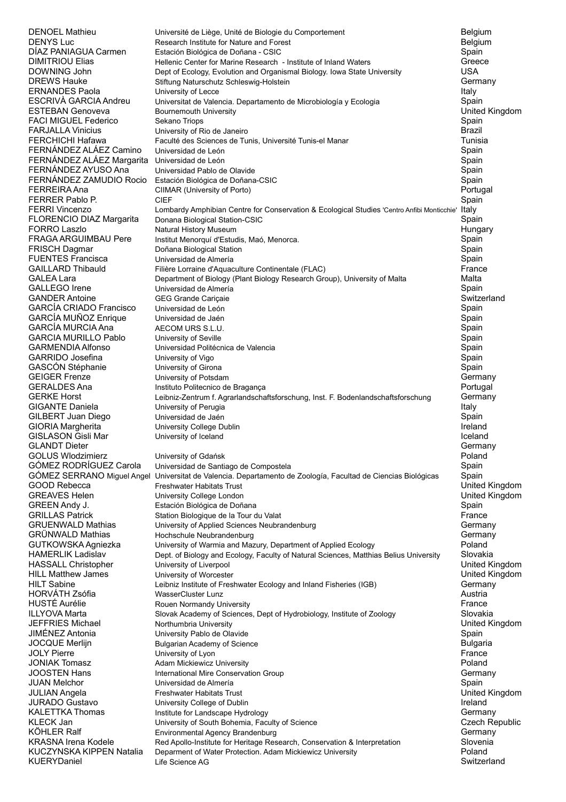| DENOEL Mathieu                                      | Université de Liège, Unité de Biologie du Comportement                                                              | Belgium                   |
|-----------------------------------------------------|---------------------------------------------------------------------------------------------------------------------|---------------------------|
| DENYS Luc                                           | Research Institute for Nature and Forest                                                                            | Belgium                   |
| DÌAZ PANIAGUA Carmen                                | Estación Biológica de Doñana - CSIC                                                                                 | Spain                     |
| DIMITRIOU Elias<br>DOWNING John                     | Hellenic Center for Marine Research - Institute of Inland Waters                                                    | Greece<br><b>USA</b>      |
| DREWS Hauke                                         | Dept of Ecology, Evolution and Organismal Biology. Iowa State University<br>Stiftung Naturschutz Schleswig-Holstein | Germany                   |
| ERNANDES Paola                                      | University of Lecce                                                                                                 | Italy                     |
| ESCRIVÁ GARCIA Andreu                               | Universitat de Valencia. Departamento de Microbiología y Ecologia                                                   | Spain                     |
| ESTEBAN Genoveva                                    | Bournemouth University                                                                                              | United Kingdom            |
| FACI MIGUEL Federico                                | Sekano Triops                                                                                                       | Spain                     |
| FARJALLA Vinicius                                   | University of Rio de Janeiro                                                                                        | Brazil                    |
| FERCHICHI Hafawa                                    | Faculté des Sciences de Tunis, Université Tunis-el Manar                                                            | Tunisia                   |
| FERNÁNDEZ ALÁEZ Camino<br>FERNÁNDEZ ALÁEZ Margarita | Universidad de León<br>Universidad de León                                                                          | Spain                     |
| FERNÁNDEZ AYUSO Ana                                 | Universidad Pablo de Olavide                                                                                        | Spain<br>Spain            |
| FERNÁNDEZ ZAMUDIO Rocio                             | Estación Biológica de Doñana-CSIC                                                                                   | Spain                     |
| FERREIRA Ana                                        | CIIMAR (University of Porto)                                                                                        | Portugal                  |
| FERRER Pablo P.                                     | <b>CIEF</b>                                                                                                         | Spain                     |
| FERRI Vincenzo                                      | Lombardy Amphibian Centre for Conservation & Ecological Studies 'Centro Anfibi Monticchie' Italy                    |                           |
| FLORENCIO DIAZ Margarita                            | Donana Biological Station-CSIC                                                                                      | Spain                     |
| FORRO Laszlo                                        | Natural History Museum                                                                                              | Hungary                   |
| FRAGA ARGUIMBAU Pere<br>FRISCH Dagmar               | Institut Menorquí d'Estudis, Maó, Menorca.                                                                          | Spain                     |
| <b>FUENTES Francisca</b>                            | Doñana Biological Station<br>Universidad de Almería                                                                 | Spain<br>Spain            |
| <b>GAILLARD Thibauld</b>                            | Filière Lorraine d'Aquaculture Continentale (FLAC)                                                                  | France                    |
| <b>GALEA Lara</b>                                   | Department of Biology (Plant Biology Research Group), University of Malta                                           | Malta                     |
| <b>GALLEGO Irene</b>                                | Universidad de Almería                                                                                              | Spain                     |
| <b>GANDER Antoine</b>                               | GEG Grande Cariçaie                                                                                                 | Switzerland               |
| GARCÍA CRIADO Francisco                             | Universidad de León                                                                                                 | Spain                     |
| GARCÍA MUÑOZ Enrique                                | Universidad de Jaén                                                                                                 | Spain                     |
| GARCÍA MURCIA Ana<br><b>GARCIA MURILLO Pablo</b>    | AECOM URS S.L.U.                                                                                                    | Spain                     |
| <b>GARMENDIA Alfonso</b>                            | University of Seville<br>Universidad Politécnica de Valencia                                                        | Spain<br>Spain            |
| GARRIDO Josefina                                    | University of Vigo                                                                                                  | Spain                     |
| GASCÓN Stéphanie                                    | University of Girona                                                                                                | Spain                     |
| <b>GEIGER Frenze</b>                                | University of Potsdam                                                                                               | Germany                   |
| GERALDES Ana                                        | Instituto Politecnico de Bragança                                                                                   | Portugal                  |
| <b>GERKE Horst</b>                                  | Leibniz-Zentrum f. Agrarlandschaftsforschung, Inst. F. Bodenlandschaftsforschung                                    | Germany                   |
| GIGANTE Daniela                                     | University of Perugia                                                                                               | Italy                     |
| GILBERT Juan Diego                                  | Universidad de Jaén                                                                                                 | Spain                     |
| GIORIA Margherita<br>GISLASON Gisli Mar             | University College Dublin<br>University of Iceland                                                                  | Ireland<br>Iceland        |
| <b>GLANDT Dieter</b>                                |                                                                                                                     | Germany                   |
| <b>GOLUS Wlodzimierz</b>                            | University of Gdańsk                                                                                                | Poland                    |
| GÓMEZ RODRÍGUEZ Carola                              | Universidad de Santiago de Compostela                                                                               | Spain                     |
|                                                     | GÓMEZ SERRANO Miguel Angel Universitat de Valencia. Departamento de Zoología, Facultad de Ciencias Biológicas       | Spain                     |
| GOOD Rebecca                                        | Freshwater Habitats Trust                                                                                           | United Kingdom            |
| GREAVES Helen                                       | University College London                                                                                           | United Kingdom            |
| GREEN Andy J.                                       | Estación Biológica de Doñana                                                                                        | Spain                     |
| <b>GRILLAS Patrick</b><br><b>GRUENWALD Mathias</b>  | Station Biologique de la Tour du Valat<br>University of Applied Sciences Neubrandenburg                             | France<br>Germany         |
| GRÜNWALD Mathias                                    | Hochschule Neubrandenburg                                                                                           | Germany                   |
| GUTKOWSKA Agniezka                                  | University of Warmia and Mazury, Department of Applied Ecology                                                      | Poland                    |
| HAMERLIK Ladislav                                   | Dept. of Biology and Ecology, Faculty of Natural Sciences, Matthias Belius University                               | Slovakia                  |
| HASSALL Christopher                                 | University of Liverpool                                                                                             | United Kingdom            |
| HILL Matthew James                                  | University of Worcester                                                                                             | United Kingdom            |
| HILT Sabine                                         | Leibniz Institute of Freshwater Ecology and Inland Fisheries (IGB)                                                  | Germany                   |
| HORVÁTH Zsófia<br>HUSTÉ Aurélie                     | <b>WasserCluster Lunz</b>                                                                                           | Austria<br>France         |
| ILLYOVA Marta                                       | Rouen Normandy University<br>Slovak Academy of Sciences, Dept of Hydrobiology, Institute of Zoology                 | Slovakia                  |
| JEFFRIES Michael                                    | Northumbria University                                                                                              | United Kingdom            |
| JIMÉNEZ Antonia                                     | University Pablo de Olavide                                                                                         | Spain                     |
| JOCQUE Merlijn                                      | <b>Bulgarian Academy of Science</b>                                                                                 | <b>Bulgaria</b>           |
| JOLY Pierre                                         | University of Lyon                                                                                                  | France                    |
| <b>JONIAK Tomasz</b>                                | Adam Mickiewicz University                                                                                          | Poland                    |
| JOOSTEN Hans                                        | International Mire Conservation Group                                                                               | Germany                   |
| JUAN Melchor                                        | Universidad de Almería                                                                                              | Spain                     |
| JULIAN Angela<br>JURADO Gustavo                     | <b>Freshwater Habitats Trust</b>                                                                                    | United Kingdom<br>Ireland |
| KALETTKA Thomas                                     | University College of Dublin<br>Institute for Landscape Hydrology                                                   | Germany                   |
| KLECK Jan                                           | University of South Bohemia, Faculty of Science                                                                     | Czech Republic            |
| KÖHLER Ralf                                         | Environmental Agency Brandenburg                                                                                    | Germany                   |
| KRASNA Irena Kodele                                 | Red Apollo-Institute for Heritage Research, Conservation & Interpretation                                           | Slovenia                  |
| KUCZYNSKA KIPPEN Natalia                            | Deparment of Water Protection. Adam Mickiewicz University                                                           | Poland                    |
| KUERYDaniel                                         | Life Science AG                                                                                                     | Switzerland               |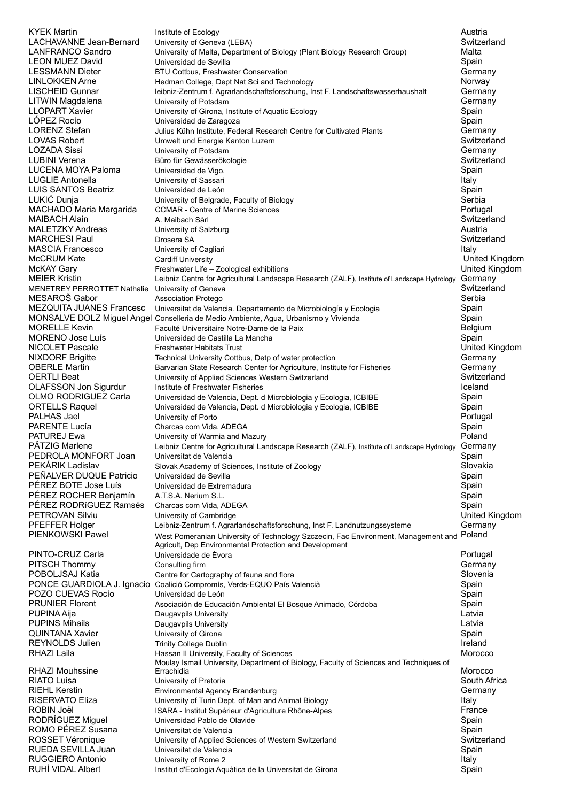KYEK Martin Institute of Ecology Austria LACHAVANNE Jean-Bernard University of Geneva (LEBA)<br>I ANFRANCO Sandro University of Malta Departme University of Malta, Department of Biology (Plant Biology Research Group) Malta LEON MUEZ David Controllers de Controllers de Sevilla Spain Controllers de Sevilla Spain Spain Spain LESSMANN Dieter and BTU Cottbus, Freshwater Conservation<br>Conservation of the Hedman College, Dent Nat Sci and Technology and Sci and Technology of the Morway Hedman College, Dept Nat Sci and Technology Norway Norway LISCHEID Gunnar leibniz-Zentrum f. Agrarlandschaftsforschung, Inst F. Landschaftswasserhaushalt Germany LITWIN Magdalena **Community of Potsdam** University of Potsdam and Communication Communication of Aguatic Ecology<br>Communication Communication Communication Communication Communication Communication Communication Communicati University of Girona, Institute of Aquatic Ecology Spain LÓPEZ Rocío **Spain de Louis Contra de Laragoza** Spain de Louis Contra de La Spain de Spain de Spain LORENZ Stefan **Germany** Julius Kühn Institute, Federal Research Centre for Cultivated Plants Germany LOVAS Robert **Confluence Confluence Umwelt und Energie Kanton Luzern Confluence Confluence Confluence Confluence**<br>
LOZADA Sissi Confluence University of Potsdam LOZADA Sissi University of Potsdam Germany Büro für Gewässerökologie LUCENA MOYA Paloma Universidad de Vigo. Spain LUGLIE Antonella **International Contract Contract Contract Contract Contract Contract Contract Contract Contract Contract Contract Contract Contract Contract Contract Contract Contract Contract Contract Contract Contract C** LUIS SANTOS Beatriz **Santo Contra Contra Contra Contra Contra Contra Contra Contra Contra Contra Contra Contra Contra Contra Contra Contra Contra Contra Contra Contra Contra Contra Contra Contra Contra Contra Contra Contra** LUKIĆ Dunja University of Belgrade, Faculty of Biology Serbia MACHADO Maria Margarida CCMAR - Centre of Marine Sciences MAIBACH Alain **A. Maibach Sàrl Switzerland** A. Maibach Sàrl Switzerland Switzerland MALETZKY Andreas University of Salzburg Austria MARCHESI Paul Drosera SA MASCIA Francesco Christensity of Cagliari Italy 1999 and Christensity of Cagliari Italy 1999 and Christensity of Cagliari Italy 1999 and Christensity of Cagliari Italy 1999 and Christensity of Cagliari Italy 1999 and Chris McCRUM Kate Cardiff University United Kingdom McKAY Gary Freshwater Life – Zoological exhibitions MEIER Kristin **Leibniz Centre for Agricultural Landscape Research (ZALF)**, Institute of Landscape Hydrology Germany MENETREY PERROTTET Nathalie University of Geneva Switzerland Switzerland Switzerland MESAROŠ Gabor Association Protego Serbia Universitat de Valencia. Departamento de Microbiología y Ecologia MONSALVE DOLZ Miguel Angel Conselleria de Medio Ambiente, Agua, Urbanismo y Vivienda Spain MORELLE Kevin **MORELLE Kevin Executé Universitaire Notre-Dame de la Paix** en la Paix de la Paix de la Paix de la Paix de la Paix de la Paix de la Paix de la Paix de la Paix de la Paix de la Paix de la Paix de la Baix de la Universidad de Castilla La Mancha NICOLET Pascale Freshwater Habitats Trust United Kingdom NIXDORF Brigitte Technical University Cottbus, Detp of water protection Germany OBERLE Martin **Barvarian State Research Center for Agriculture**, Institute for Fisheries Germany OERTLI Beat **Suitzerland** University of Applied Sciences Western Switzerland Switzerland Switzerland OLAFSSON Jon Sigurdur Institute of Freshwater Fisheries<br>OLMO RODRIGUEZ Carla Universidad de Valencia, Dept. d Microbiologia y Ecologia, ICBIBE Spain OLMO RODRIGUEZ Carla Universidad de Valencia, Dept. d Microbiologia y Ecologia, ICBIBE ORTELLS Raquel **Subset Contracts** Universidad de Valencia, Dept. d Microbiologia y Ecologia, ICBIBE Spain PALHAS Jael **Palling Community Community of Porto** Portugal Palling Portugal Portugal Portugal PARENTE Lucía Charcas com Vida, ADEGA Charcas com Vida, ADEGA Spain PATUREJ Ewa **Particle Contract Contract Contract Contract Contract Contract Contract Contract Contract Poland** PÄTZIG Marlene Leibniz Centre for Agricultural Landscape Research (ZALF), Institute of Landscape Hydrology Germany PEDROLA MONFORT Joan Universitat de Valencia<br>PEKÁRIK Ladislav Slovak Academy of Sciences Institute of Zoology Slovakia Slovak Academy of Sciences, Institute of Zoology PEÑALVER DUQUE Patricio Universidad de Sevilla Spain Spain Spain Spain Spain Spain PÉREZ BOTE Jose Luís com universidad de Extremadura com establece en el segundo de Spain de Spain de Spain de<br>PÉREZ ROCHER Benjamín con A.T.S.A. Nerium S.L. PÉREZ ROCHER Benjamín PÉREZ RODRÍGUEZ Ramsés Charcas com Vida, ADEGA Spain Charcas Charcas Charcas Charcas Spain PETROVAN Silviu Chiversity of Cambridge Chives Chives and Direct Chives And Direct Chives United Kingdom PFEFFER Holger Leibniz-Zentrum f. Agrarlandschaftsforschung, Inst F. Landnutzungssysteme Germany PIENKOWSKI Pawel **West Pomeranian University of Technology Szczecin**, Fac Environment, Management and Poland Agricult, Dep Environmental Protection and Development PINTO-CRUZ Carla Controllectural Universidade de Évora entre entre entre entre entre entre entre entre entre e PITSCH Thommy Consulting firm Consulting firm Consulting firm Consulting firm Consulting firm Consulting firm Consulting firm Consulting firm Consulting firm Consulting firm Consulting firm Consulting firm Consulting firm POBOLJSAJ Katia Centre for Cartography of fauna and flora School Cartography of fauna and flora School Slovenia PONCE GUARDIOLA J. Ignacio Coalició Compromís, Verds-EQUO País Valencià Spain POZO CUEVAS Rocío Universidad de León **Spain Spain Spain Spain Spain Spain** PRUNIER Florent **Asociación de Educación Ambiental El Bosque Animado**, Córdoba **Calcación** Spain PUPINA Aija **Daugavpils University Daugavpils University Latvia Latvia** PUPINS Mihails Daugavpils University Latvia QUINTANA Xavier University of Girona Spain REYNOLDS Julien Trinity College Dublin<br>RHAZLLaila III Hassan II University Faculty of Sciences The College The Morocco Hassan II University, Faculty of Sciences RHAZI Mouhssine Moulay Ismail University, Department of Biology, Faculty of Sciences and Techniques of Errachidia Morocco RIATO Luisa University of Pretoria South Africa RIEHL Kerstin **Environmental Agency Brandenburg** RISERVATO Eliza **Iniversity of Turin Dept. of Man and Animal Biology Italy** Italy ROBIN Joël **ISARA - Institut Supérieur d'Agriculture Rhône-Alpes** France RODRÍGUEZ Miguel Universidad Pablo de Olavide Spain ROMO PÉREZ Susana Universitat de Valencia ROSSET Véronique University of Applied Sciences of Western Switzerland Switzerland Universitat de Valencia et al. et al. et al. et al. et al. et al. et al. et al. et al. et al. et al. et al. et a RUGGIERO Antonio University of Rome 2 Italy Institut d'Ecologia Aquàtica de la Universitat de Girona **Secologia Spain** Spain